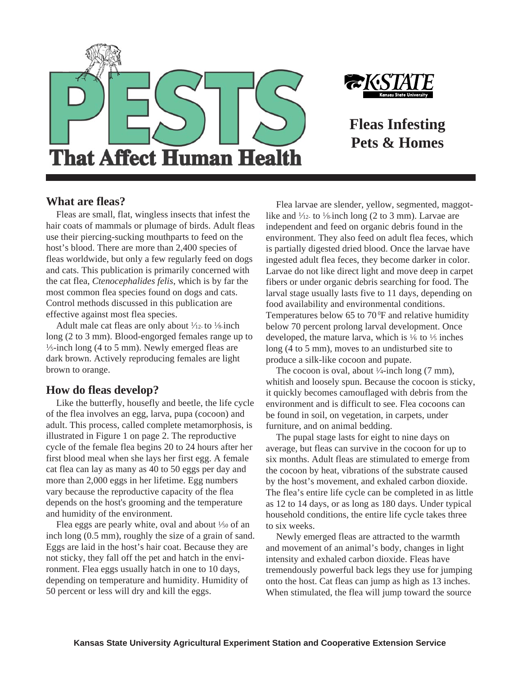



**Fleas Infesting Pets & Homes**

## **What are fleas?**

Fleas are small, flat, wingless insects that infest the hair coats of mammals or plumage of birds. Adult fleas use their piercing-sucking mouthparts to feed on the host's blood. There are more than 2,400 species of fleas worldwide, but only a few regularly feed on dogs and cats. This publication is primarily concerned with the cat flea, *Ctenocephalides felis*, which is by far the most common flea species found on dogs and cats. Control methods discussed in this publication are effective against most flea species.

Adult male cat fleas are only about  $\frac{1}{12}$ - to  $\frac{1}{8}$ -inch long (2 to 3 mm). Blood-engorged females range up to  $\frac{1}{5}$ -inch long (4 to 5 mm). Newly emerged fleas are dark brown. Actively reproducing females are light brown to orange.

## **How do fleas develop?**

Like the butterfly, housefly and beetle, the life cycle of the flea involves an egg, larva, pupa (cocoon) and adult. This process, called complete metamorphosis, is illustrated in Figure 1 on page 2. The reproductive cycle of the female flea begins 20 to 24 hours after her first blood meal when she lays her first egg. A female cat flea can lay as many as 40 to 50 eggs per day and more than 2,000 eggs in her lifetime. Egg numbers vary because the reproductive capacity of the flea depends on the host's grooming and the temperature and humidity of the environment.

Flea eggs are pearly white, oval and about  $\frac{1}{50}$  of an inch long (0.5 mm), roughly the size of a grain of sand. Eggs are laid in the host's hair coat. Because they are not sticky, they fall off the pet and hatch in the environment. Flea eggs usually hatch in one to 10 days, depending on temperature and humidity. Humidity of 50 percent or less will dry and kill the eggs.

Flea larvae are slender, yellow, segmented, maggotlike and  $\frac{1}{12}$ - to  $\frac{1}{8}$ -inch long (2 to 3 mm). Larvae are independent and feed on organic debris found in the environment. They also feed on adult flea feces, which is partially digested dried blood. Once the larvae have ingested adult flea feces, they become darker in color. Larvae do not like direct light and move deep in carpet fibers or under organic debris searching for food. The larval stage usually lasts five to 11 days, depending on food availability and environmental conditions. Temperatures below 65 to  $70^{\circ}$ F and relative humidity below 70 percent prolong larval development. Once developed, the mature larva, which is  $\frac{1}{6}$  to  $\frac{1}{5}$  inches long (4 to 5 mm), moves to an undisturbed site to produce a silk-like cocoon and pupate.

The cocoon is oval, about  $\frac{1}{4}$ -inch long (7 mm), whitish and loosely spun. Because the cocoon is sticky, it quickly becomes camouflaged with debris from the environment and is difficult to see. Flea cocoons can be found in soil, on vegetation, in carpets, under furniture, and on animal bedding.

The pupal stage lasts for eight to nine days on average, but fleas can survive in the cocoon for up to six months. Adult fleas are stimulated to emerge from the cocoon by heat, vibrations of the substrate caused by the host's movement, and exhaled carbon dioxide. The flea's entire life cycle can be completed in as little as 12 to 14 days, or as long as 180 days. Under typical household conditions, the entire life cycle takes three to six weeks.

Newly emerged fleas are attracted to the warmth and movement of an animal's body, changes in light intensity and exhaled carbon dioxide. Fleas have tremendously powerful back legs they use for jumping onto the host. Cat fleas can jump as high as 13 inches. When stimulated, the flea will jump toward the source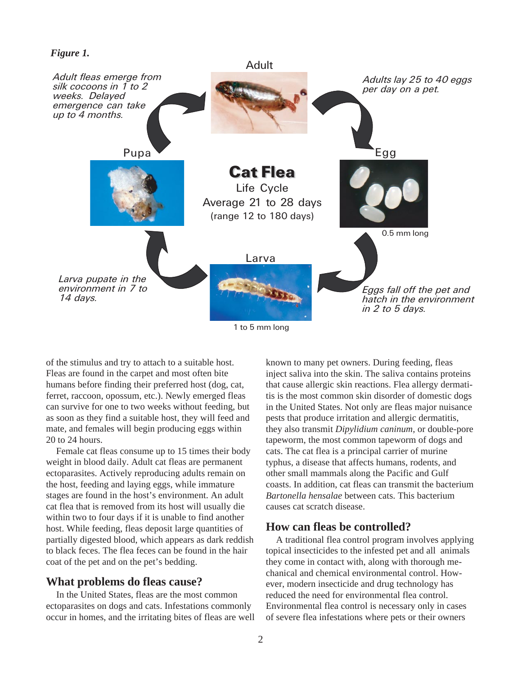

1 to 5 mm long

of the stimulus and try to attach to a suitable host. Fleas are found in the carpet and most often bite humans before finding their preferred host (dog, cat, ferret, raccoon, opossum, etc.). Newly emerged fleas can survive for one to two weeks without feeding, but as soon as they find a suitable host, they will feed and mate, and females will begin producing eggs within 20 to 24 hours.

Female cat fleas consume up to 15 times their body weight in blood daily. Adult cat fleas are permanent ectoparasites. Actively reproducing adults remain on the host, feeding and laying eggs, while immature stages are found in the host's environment. An adult cat flea that is removed from its host will usually die within two to four days if it is unable to find another host. While feeding, fleas deposit large quantities of partially digested blood, which appears as dark reddish to black feces. The flea feces can be found in the hair coat of the pet and on the pet's bedding.

# **What problems do fleas cause?**

In the United States, fleas are the most common ectoparasites on dogs and cats. Infestations commonly occur in homes, and the irritating bites of fleas are well known to many pet owners. During feeding, fleas inject saliva into the skin. The saliva contains proteins that cause allergic skin reactions. Flea allergy dermatitis is the most common skin disorder of domestic dogs in the United States. Not only are fleas major nuisance pests that produce irritation and allergic dermatitis, they also transmit *Dipylidium caninum,* or double-pore tapeworm, the most common tapeworm of dogs and cats. The cat flea is a principal carrier of murine typhus, a disease that affects humans, rodents, and other small mammals along the Pacific and Gulf coasts. In addition, cat fleas can transmit the bacterium *Bartonella hensalae* between cats. This bacterium causes cat scratch disease.

## **How can fleas be controlled?**

A traditional flea control program involves applying topical insecticides to the infested pet and all animals they come in contact with, along with thorough mechanical and chemical environmental control. However, modern insecticide and drug technology has reduced the need for environmental flea control. Environmental flea control is necessary only in cases of severe flea infestations where pets or their owners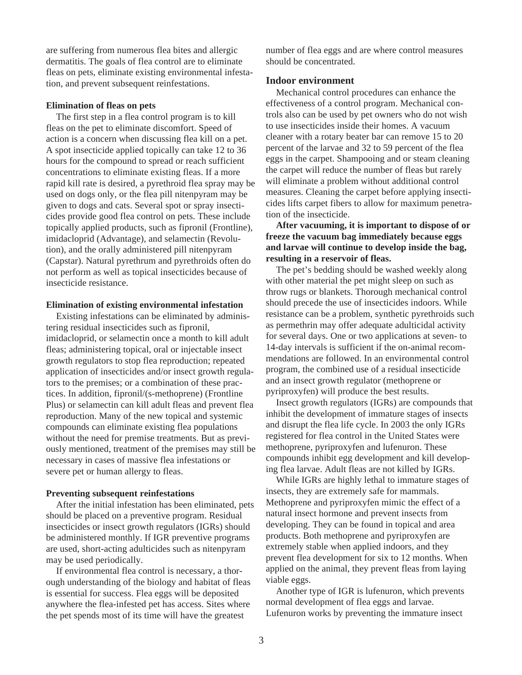are suffering from numerous flea bites and allergic dermatitis. The goals of flea control are to eliminate fleas on pets, eliminate existing environmental infestation, and prevent subsequent reinfestations.

### **Elimination of fleas on pets**

The first step in a flea control program is to kill fleas on the pet to eliminate discomfort. Speed of action is a concern when discussing flea kill on a pet. A spot insecticide applied topically can take 12 to 36 hours for the compound to spread or reach sufficient concentrations to eliminate existing fleas. If a more rapid kill rate is desired, a pyrethroid flea spray may be used on dogs only, or the flea pill nitenpyram may be given to dogs and cats. Several spot or spray insecticides provide good flea control on pets. These include topically applied products, such as fipronil (Frontline), imidacloprid (Advantage), and selamectin (Revolution), and the orally administered pill nitenpyram (Capstar). Natural pyrethrum and pyrethroids often do not perform as well as topical insecticides because of insecticide resistance.

#### **Elimination of existing environmental infestation**

Existing infestations can be eliminated by administering residual insecticides such as fipronil, imidacloprid, or selamectin once a month to kill adult fleas; administering topical, oral or injectable insect growth regulators to stop flea reproduction; repeated application of insecticides and/or insect growth regulators to the premises; or a combination of these practices. In addition, fipronil/(s-methoprene) (Frontline Plus) or selamectin can kill adult fleas and prevent flea reproduction. Many of the new topical and systemic compounds can eliminate existing flea populations without the need for premise treatments. But as previously mentioned, treatment of the premises may still be necessary in cases of massive flea infestations or severe pet or human allergy to fleas.

#### **Preventing subsequent reinfestations**

After the initial infestation has been eliminated, pets should be placed on a preventive program. Residual insecticides or insect growth regulators (IGRs) should be administered monthly. If IGR preventive programs are used, short-acting adulticides such as nitenpyram may be used periodically.

If environmental flea control is necessary, a thorough understanding of the biology and habitat of fleas is essential for success. Flea eggs will be deposited anywhere the flea-infested pet has access. Sites where the pet spends most of its time will have the greatest

number of flea eggs and are where control measures should be concentrated.

### **Indoor environment**

Mechanical control procedures can enhance the effectiveness of a control program. Mechanical controls also can be used by pet owners who do not wish to use insecticides inside their homes. A vacuum cleaner with a rotary beater bar can remove 15 to 20 percent of the larvae and 32 to 59 percent of the flea eggs in the carpet. Shampooing and or steam cleaning the carpet will reduce the number of fleas but rarely will eliminate a problem without additional control measures. Cleaning the carpet before applying insecticides lifts carpet fibers to allow for maximum penetration of the insecticide.

**After vacuuming, it is important to dispose of or freeze the vacuum bag immediately because eggs and larvae will continue to develop inside the bag, resulting in a reservoir of fleas.**

The pet's bedding should be washed weekly along with other material the pet might sleep on such as throw rugs or blankets. Thorough mechanical control should precede the use of insecticides indoors. While resistance can be a problem, synthetic pyrethroids such as permethrin may offer adequate adulticidal activity for several days. One or two applications at seven- to 14-day intervals is sufficient if the on-animal recommendations are followed. In an environmental control program, the combined use of a residual insecticide and an insect growth regulator (methoprene or pyriproxyfen) will produce the best results.

Insect growth regulators (IGRs) are compounds that inhibit the development of immature stages of insects and disrupt the flea life cycle. In 2003 the only IGRs registered for flea control in the United States were methoprene, pyriproxyfen and lufenuron. These compounds inhibit egg development and kill developing flea larvae. Adult fleas are not killed by IGRs.

While IGRs are highly lethal to immature stages of insects, they are extremely safe for mammals. Methoprene and pyriproxyfen mimic the effect of a natural insect hormone and prevent insects from developing. They can be found in topical and area products. Both methoprene and pyriproxyfen are extremely stable when applied indoors, and they prevent flea development for six to 12 months. When applied on the animal, they prevent fleas from laying viable eggs.

Another type of IGR is lufenuron, which prevents normal development of flea eggs and larvae. Lufenuron works by preventing the immature insect